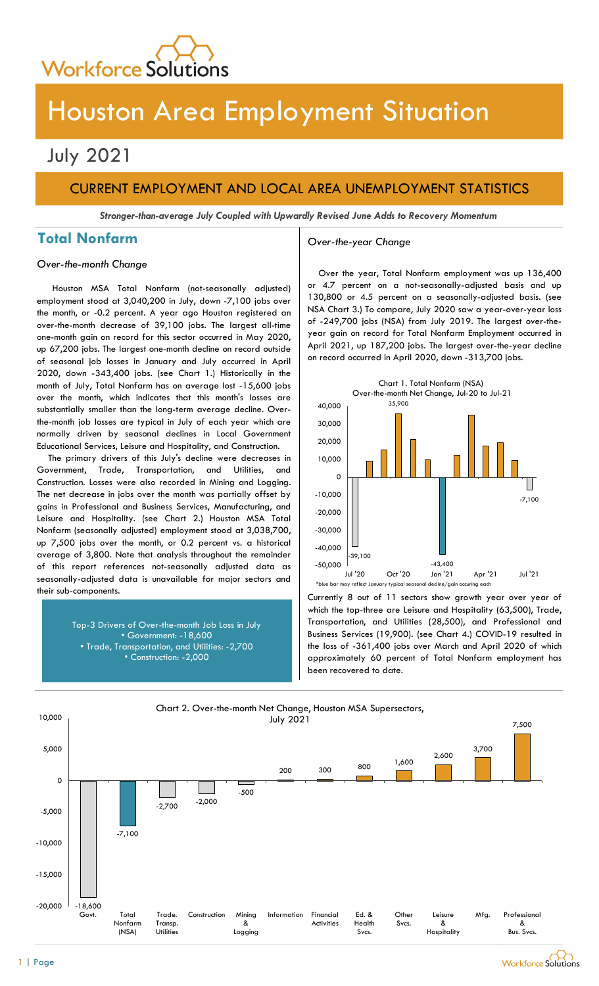

## July 2021

## CURRENT EMPLOYMENT AND LOCAL AREA UNEMPLOYMENT STATISTICS

Stronger-than-average July Coupled with Upwardly Revised June Adds to Recovery Momentum

## Total Nonfarm and a settle over-the-year Change

### Over-the-month Change

Houston MSA Total Nonfarm (not-seasonally adjusted) employment stood at 3,040,200 in July, down -7,100 jobs over the month, or -0.2 percent. A year ago Houston registered an over-the-month decrease of 39,100 jobs. The largest all-time one-month gain on record for this sector occurred in May 2020, up 67,200 jobs. The largest one-month decline on record outside of seasonal job losses in January and July occurred in April 2020, down -343,400 jobs. (see Chart 1.) Historically in the month of July, Total Nonfarm has on average lost -15,600 jobs over the month, which indicates that this month's losses are substantially smaller than the long-term average decline. Overthe-month job losses are typical in July of each year which are normally driven by seasonal declines in Local Government Educational Services, Leisure and Hospitality, and Construction.

The primary drivers of this July's decline were decreases in Government, Trade, Transportation, and Utilities, and Construction. Losses were also recorded in Mining and Logging. The net decrease in jobs over the month was partially offset by gains in Professional and Business Services, Manufacturing, and Leisure and Hospitality. (see Chart 2.) Houston MSA Total Nonfarm (seasonally adjusted) employment stood at 3,038,700, up 7,500 jobs over the month, or 0.2 percent vs. a historical average of 3,800. Note that analysis throughout the remainder of this report references not-seasonally adjusted data as seasonally-adjusted data is unavailable for major sectors and their sub-components.

> Top-3 Drivers of Over-the-month Job Loss in July • Government: -18,600 • Trade, Transportation, and Utilities: -2,700 • Construction: -2,000

Over the year, Total Nonfarm employment was up 136,400 or 4.7 percent on a not-seasonally-adjusted basis and up 130,800 or 4.5 percent on a seasonally-adjusted basis. (see NSA Chart 3.) To compare, July 2020 saw a year-over-year loss of -249,700 jobs (NSA) from July 2019. The largest over-theyear gain on record for Total Nonfarm Employment occurred in April 2021, up 187,200 jobs. The largest over-the-year decline on record occurred in April 2020, down -313,700 jobs.



Currently 8 out of 11 sectors show growth year over year of which the top-three are Leisure and Hospitality (63,500), Trade, Transportation, and Utilities (28,500), and Professional and Business Services (19,900). (see Chart 4.) COVID-19 resulted in the loss of -361,400 jobs over March and April 2020 of which approximately 60 percent of Total Nonfarm employment has been recovered to date.



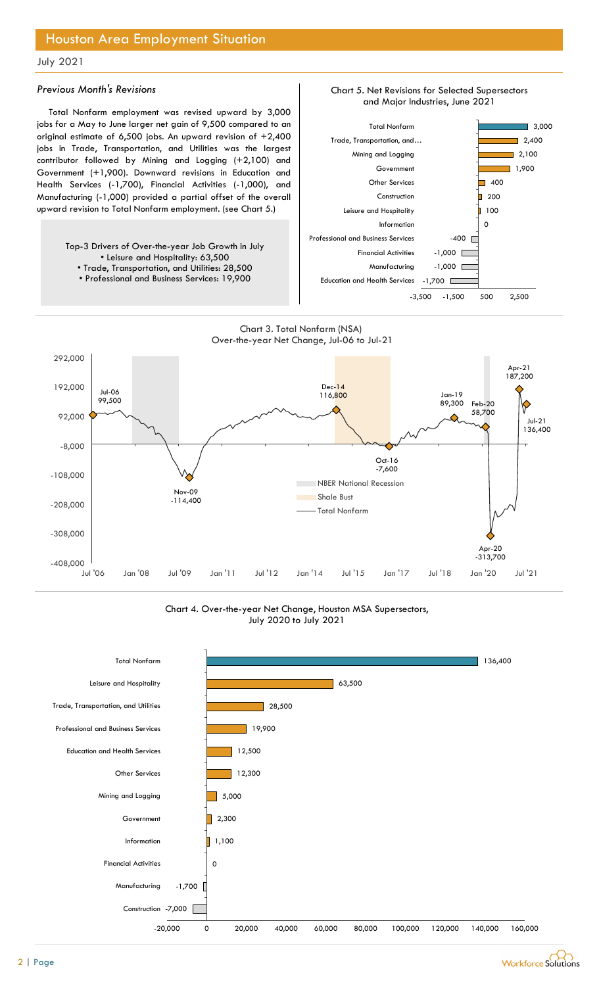### July 2021

### Previous Month's Revisions

Total Nonfarm employment was revised upward by 3,000 jobs for a May to June larger net gain of 9,500 compared to an original estimate of 6,500 jobs. An upward revision of +2,400 jobs in Trade, Transportation, and Utilities was the largest contributor followed by Mining and Logging (+2,100) and Government (+1,900). Downward revisions in Education and Health Services (-1,700), Financial Activities (-1,000), and Manufacturing (-1,000) provided a partial offset of the overall upward revision to Total Nonfarm employment. (see Chart 5.)



- Trade, Transportation, and Utilities: 28,500
- Professional and Business Services: 19,900









Chart 4. Over-the-year Net Change, Houston MSA Supersectors, July 2020 to July 2021



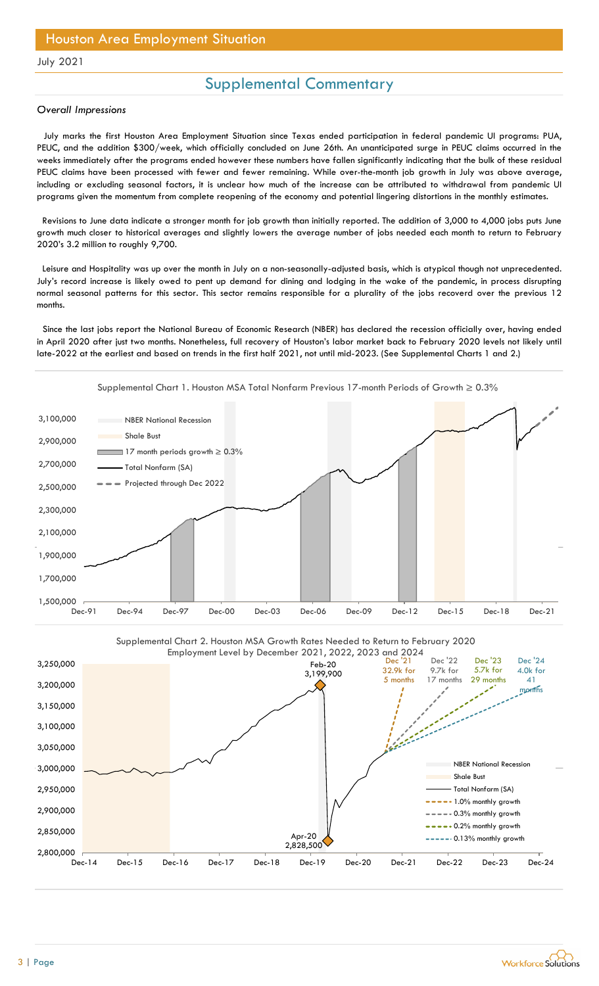### July 2021

## Supplemental Commentary

#### Overall Impressions

July marks the first Houston Area Employment Situation since Texas ended participation in federal pandemic UI programs: PUA, PEUC, and the addition \$300/week, which officially concluded on June 26th. An unanticipated surge in PEUC claims occurred in the weeks immediately after the programs ended however these numbers have fallen significantly indicating that the bulk of these residual PEUC claims have been processed with fewer and fewer remaining. While over-the-month job growth in July was above average, including or excluding seasonal factors, it is unclear how much of the increase can be attributed to withdrawal from pandemic UI programs given the momentum from complete reopening of the economy and potential lingering distortions in the monthly estimates.

Revisions to June data indicate a stronger month for job growth than initially reported. The addition of 3,000 to 4,000 jobs puts June growth much closer to historical averages and slightly lowers the average number of jobs needed each month to return to February 2020's 3.2 million to roughly 9,700.

Leisure and Hospitality was up over the month in July on a non-seasonally-adjusted basis, which is atypical though not unprecedented. July's record increase is likely owed to pent up demand for dining and lodging in the wake of the pandemic, in process disrupting normal seasonal patterns for this sector. This sector remains responsible for a plurality of the jobs recoverd over the previous 12 months.

Since the last jobs report the National Bureau of Economic Research (NBER) has declared the recession officially over, having ended in April 2020 after just two months. Nonetheless, full recovery of Houston's labor market back to February 2020 levels not likely until late-2022 at the earliest and based on trends in the first half 2021, not until mid-2023. (See Supplemental Charts 1 and 2.)





Supplemental Chart 1. Houston MSA Total Nonfarm Previous 17-month Periods of Growth ≥ 0.3%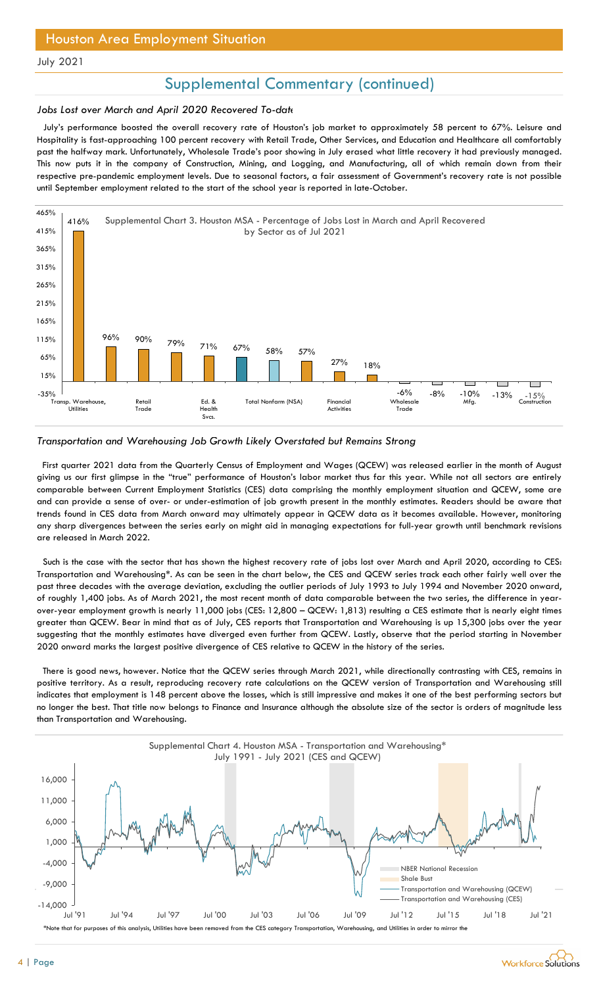July 2021

## Supplemental Commentary (continued)

### Jobs Lost over March and April 2020 Recovered To-date

July's performance boosted the overall recovery rate of Houston's job market to approximately 58 percent to 67%. Leisure and Hospitality is fast-approaching 100 percent recovery with Retail Trade, Other Services, and Education and Healthcare all comfortably past the halfway mark. Unfortunately, Wholesale Trade's poor showing in July erased what little recovery it had previously managed. This now puts it in the company of Construction, Mining, and Logging, and Manufacturing, all of which remain down from their respective pre-pandemic employment levels. Due to seasonal factors, a fair assessment of Government's recovery rate is not possible until September employment related to the start of the school year is reported in late-October.



### Transportation and Warehousing Job Growth Likely Overstated but Remains Strong

First quarter 2021 data from the Quarterly Census of Employment and Wages (QCEW) was released earlier in the month of August giving us our first glimpse in the "true" performance of Houston's labor market thus far this year. While not all sectors are entirely comparable between Current Employment Statistics (CES) data comprising the monthly employment situation and QCEW, some are and can provide a sense of over- or under-estimation of job growth present in the monthly estimates. Readers should be aware that trends found in CES data from March onward may ultimately appear in QCEW data as it becomes available. However, monitoring any sharp divergences between the series early on might aid in managing expectations for full-year growth until benchmark revisions are released in March 2022.

Such is the case with the sector that has shown the highest recovery rate of jobs lost over March and April 2020, according to CES: Transportation and Warehousing\*. As can be seen in the chart below, the CES and QCEW series track each other fairly well over the past three decades with the average deviation, excluding the outlier periods of July 1993 to July 1994 and November 2020 onward, of roughly 1,400 jobs. As of March 2021, the most recent month of data comparable between the two series, the difference in yearover-year employment growth is nearly 11,000 jobs (CES: 12,800 – QCEW: 1,813) resulting a CES estimate that is nearly eight times greater than QCEW. Bear in mind that as of July, CES reports that Transportation and Warehousing is up 15,300 jobs over the year suggesting that the monthly estimates have diverged even further from QCEW. Lastly, observe that the period starting in November 2020 onward marks the largest positive divergence of CES relative to QCEW in the history of the series.

There is good news, however. Notice that the QCEW series through March 2021, while directionally contrasting with CES, remains in positive territory. As a result, reproducing recovery rate calculations on the QCEW version of Transportation and Warehousing still indicates that employment is 148 percent above the losses, which is still impressive and makes it one of the best performing sectors but no longer the best. That title now belongs to Finance and Insurance although the absolute size of the sector is orders of magnitude less than Transportation and Warehousing.

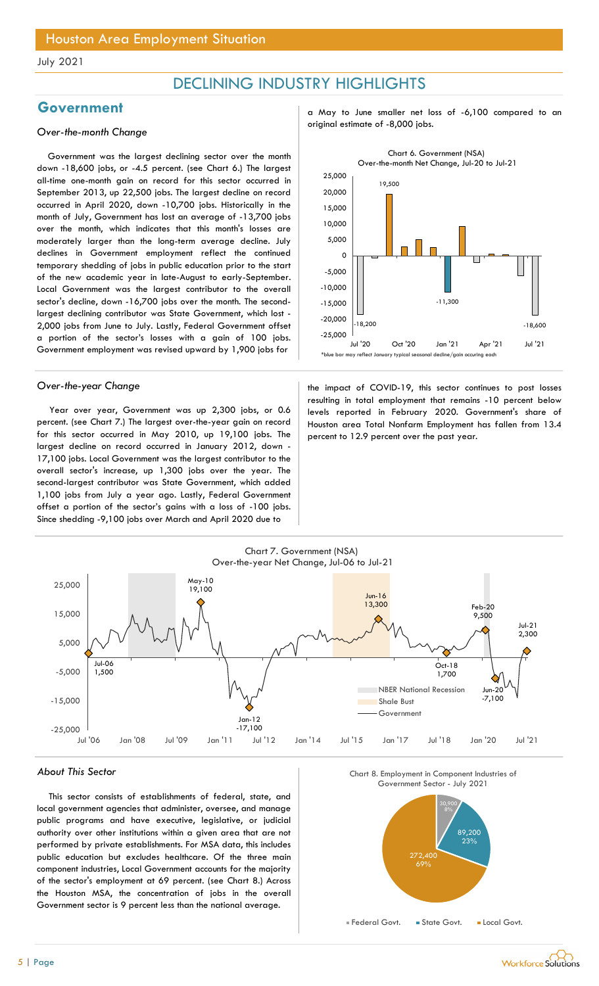## DECLINING INDUSTRY HIGHLIGHTS

Government was the largest declining sector over the month down -18,600 jobs, or -4.5 percent. (see Chart 6.) The largest all-time one-month gain on record for this sector occurred in September 2013, up 22,500 jobs. The largest decline on record occurred in April 2020, down -10,700 jobs. Historically in the month of July, Government has lost an average of -13,700 jobs over the month, which indicates that this month's losses are moderately larger than the long-term average decline. July declines in Government employment reflect the continued temporary shedding of jobs in public education prior to the start of the new academic year in late-August to early-September. Local Government was the largest contributor to the overall sector's decline, down -16,700 jobs over the month. The secondlargest declining contributor was State Government, which lost - 2,000 jobs from June to July. Lastly, Federal Government offset a portion of the sector's losses with a gain of 100 jobs. Government employment was revised upward by 1,900 jobs for

Year over year, Government was up 2,300 jobs, or 0.6 percent. (see Chart 7.) The largest over-the-year gain on record for this sector occurred in May 2010, up 19,100 jobs. The largest decline on record occurred in January 2012, down - 17,100 jobs. Local Government was the largest contributor to the overall sector's increase, up 1,300 jobs over the year. The second-largest contributor was State Government, which added 1,100 jobs from July a year ago. Lastly, Federal Government offset a portion of the sector's gains with a loss of -100 jobs. Since shedding -9,100 jobs over March and April 2020 due to

Government a May to June smaller net loss of -6,100 compared to an original estimate of -8,000 jobs. Over-the-month Change



Over-the-year Change the impact of COVID-19, this sector continues to post losses resulting in total employment that remains -10 percent below levels reported in February 2020. Government's share of Houston area Total Nonfarm Employment has fallen from 13.4 percent to 12.9 percent over the past year.



### About This Sector

This sector consists of establishments of federal, state, and local government agencies that administer, oversee, and manage public programs and have executive, legislative, or judicial authority over other institutions within a given area that are not performed by private establishments. For MSA data, this includes public education but excludes healthcare. Of the three main component industries, Local Government accounts for the majority of the sector's employment at 69 percent. (see Chart 8.) Across the Houston MSA, the concentration of jobs in the overall Government sector is 9 percent less than the national average.





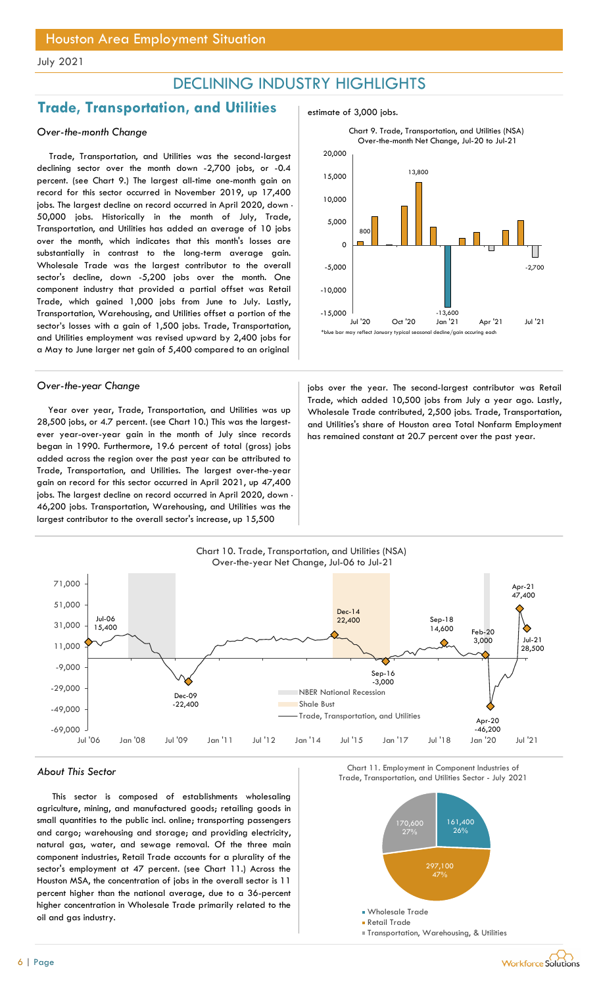## DECLINING INDUSTRY HIGHLIGHTS

## **Trade, Transportation, and Utilities**  $\qquad$  estimate of 3,000 jobs.

### Over-the-month Change

Trade, Transportation, and Utilities was the second-largest declining sector over the month down -2,700 jobs, or -0.4 percent. (see Chart 9.) The largest all-time one-month gain on record for this sector occurred in November 2019, up 17,400 jobs. The largest decline on record occurred in April 2020, down -50,000 jobs. Historically in the month of July, Trade, Transportation, and Utilities has added an average of 10 jobs over the month, which indicates that this month's losses are substantially in contrast to the long-term average gain. Wholesale Trade was the largest contributor to the overall sector's decline, down -5,200 jobs over the month. One component industry that provided a partial offset was Retail Trade, which gained 1,000 jobs from June to July. Lastly, Transportation, Warehousing, and Utilities offset a portion of the sector's losses with a gain of 1,500 jobs. Trade, Transportation, and Utilities employment was revised upward by 2,400 jobs for a May to June larger net gain of 5,400 compared to an original

Year over year, Trade, Transportation, and Utilities was up 28,500 jobs, or 4.7 percent. (see Chart 10.) This was the largestever year-over-year gain in the month of July since records began in 1990. Furthermore, 19.6 percent of total (gross) jobs added across the region over the past year can be attributed to Trade, Transportation, and Utilities. The largest over-the-year gain on record for this sector occurred in April 2021, up 47,400 jobs. The largest decline on record occurred in April 2020, down - 46,200 jobs. Transportation, Warehousing, and Utilities was the largest contributor to the overall sector's increase, up 15,500



Over-the-year Change in the second-largest contributor was Retail Trade, which added 10,500 jobs from July a year ago. Lastly, Wholesale Trade contributed, 2,500 jobs. Trade, Transportation, and Utilities's share of Houston area Total Nonfarm Employment has remained constant at 20.7 percent over the past year.



This sector is composed of establishments wholesaling agriculture, mining, and manufactured goods; retailing goods in small quantities to the public incl. online; transporting passengers and cargo; warehousing and storage; and providing electricity, natural gas, water, and sewage removal. Of the three main component industries, Retail Trade accounts for a plurality of the sector's employment at 47 percent. (see Chart 11.) Across the Houston MSA, the concentration of jobs in the overall sector is 11 percent higher than the national average, due to a 36-percent higher concentration in Wholesale Trade primarily related to the oil and gas industry.

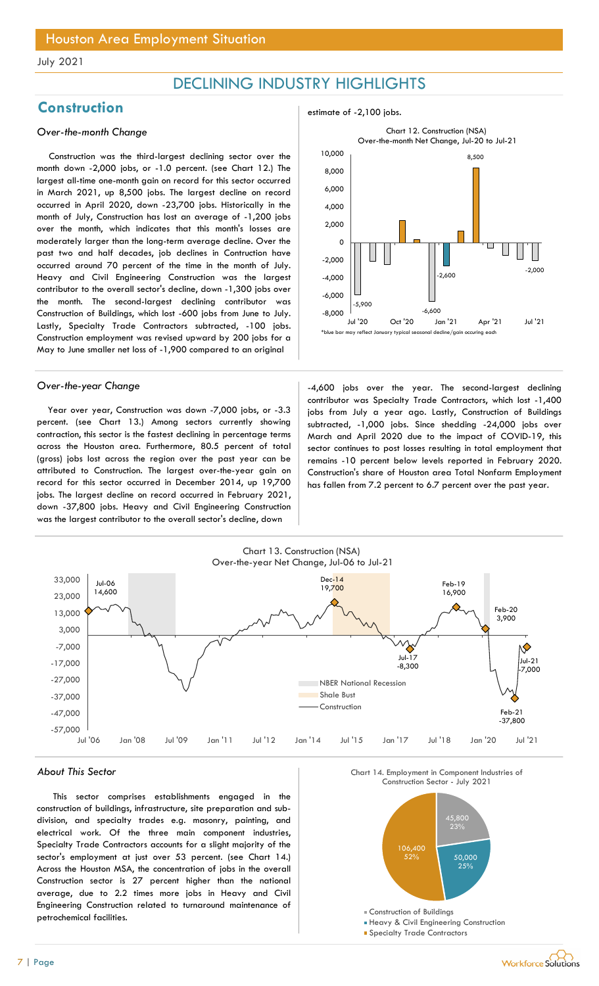## DECLINING INDUSTRY HIGHLIGHTS

## Construction estimate of -2,100 jobs.

### Over-the-month Change

Construction was the third-largest declining sector over the month down -2,000 jobs, or -1.0 percent. (see Chart 12.) The largest all-time one-month gain on record for this sector occurred in March 2021, up 8,500 jobs. The largest decline on record occurred in April 2020, down -23,700 jobs. Historically in the month of July, Construction has lost an average of -1,200 jobs over the month, which indicates that this month's losses are moderately larger than the long-term average decline. Over the past two and half decades, job declines in Contruction have occurred around 70 percent of the time in the month of July. Heavy and Civil Engineering Construction was the largest contributor to the overall sector's decline, down -1,300 jobs over the month. The second-largest declining contributor was Construction of Buildings, which lost -600 jobs from June to July. Lastly, Specialty Trade Contractors subtracted, -100 jobs. Construction employment was revised upward by 200 jobs for a May to June smaller net loss of -1,900 compared to an original

Year over year, Construction was down -7,000 jobs, or -3.3 percent. (see Chart 13.) Among sectors currently showing contraction, this sector is the fastest declining in percentage terms across the Houston area. Furthermore, 80.5 percent of total (gross) jobs lost across the region over the past year can be attributed to Construction. The largest over-the-year gain on record for this sector occurred in December 2014, up 19,700 jobs. The largest decline on record occurred in February 2021, down -37,800 jobs. Heavy and Civil Engineering Construction was the largest contributor to the overall sector's decline, down



Over-the-year Change and the second-largest declining  $-4,600$  jobs over the year. The second-largest declining contributor was Specialty Trade Contractors, which lost -1,400 jobs from July a year ago. Lastly, Construction of Buildings subtracted, -1,000 jobs. Since shedding -24,000 jobs over March and April 2020 due to the impact of COVID-19, this sector continues to post losses resulting in total employment that remains -10 percent below levels reported in February 2020. Construction's share of Houston area Total Nonfarm Employment has fallen from 7.2 percent to 6.7 percent over the past year.



#### About This Sector

This sector comprises establishments engaged in the construction of buildings, infrastructure, site preparation and subdivision, and specialty trades e.g. masonry, painting, and electrical work. Of the three main component industries, Specialty Trade Contractors accounts for a slight majority of the sector's employment at just over 53 percent. (see Chart 14.) Across the Houston MSA, the concentration of jobs in the overall Construction sector is 27 percent higher than the national average, due to 2.2 times more jobs in Heavy and Civil Engineering Construction related to turnaround maintenance of petrochemical facilities.





- **Heavy & Civil Engineering Construction**
- **Specialty Trade Contractors**

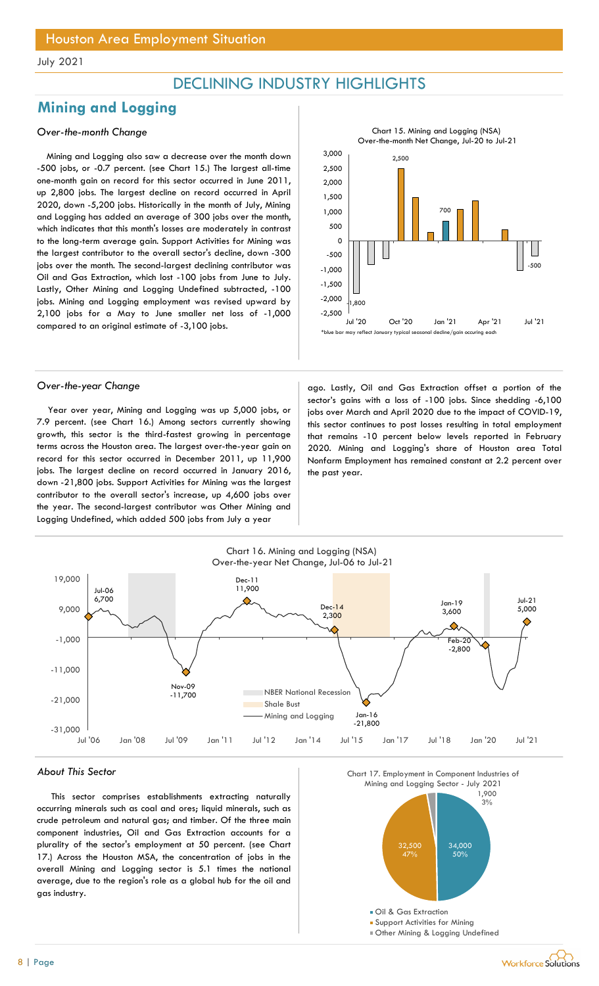## DECLINING INDUSTRY HIGHLIGHTS

## Mining and Logging

### Over-the-month Change

Mining and Logging also saw a decrease over the month down -500 jobs, or -0.7 percent. (see Chart 15.) The largest all-time one-month gain on record for this sector occurred in June 2011, up 2,800 jobs. The largest decline on record occurred in April 2020, down -5,200 jobs. Historically in the month of July, Mining and Logging has added an average of 300 jobs over the month, which indicates that this month's losses are moderately in contrast to the long-term average gain. Support Activities for Mining was the largest contributor to the overall sector's decline, down -300 jobs over the month. The second-largest declining contributor was Oil and Gas Extraction, which lost -100 jobs from June to July. Lastly, Other Mining and Logging Undefined subtracted, -100 jobs. Mining and Logging employment was revised upward by 2,100 jobs for a May to June smaller net loss of -1,000 compared to an original estimate of -3,100 jobs.



Year over year, Mining and Logging was up 5,000 jobs, or 7.9 percent. (see Chart 16.) Among sectors currently showing growth, this sector is the third-fastest growing in percentage terms across the Houston area. The largest over-the-year gain on record for this sector occurred in December 2011, up 11,900 jobs. The largest decline on record occurred in January 2016, down -21,800 jobs. Support Activities for Mining was the largest contributor to the overall sector's increase, up 4,600 jobs over the year. The second-largest contributor was Other Mining and Logging Undefined, which added 500 jobs from July a year

Over-the-year Change and ago. Lastly, Oil and Gas Extraction offset a portion of the sector's gains with a loss of -100 jobs. Since shedding -6,100 jobs over March and April 2020 due to the impact of COVID-19, this sector continues to post losses resulting in total employment that remains -10 percent below levels reported in February 2020. Mining and Logging's share of Houston area Total Nonfarm Employment has remained constant at 2.2 percent over the past year.



#### About This Sector

This sector comprises establishments extracting naturally occurring minerals such as coal and ores; liquid minerals, such as crude petroleum and natural gas; and timber. Of the three main component industries, Oil and Gas Extraction accounts for a plurality of the sector's employment at 50 percent. (see Chart 17.) Across the Houston MSA, the concentration of jobs in the overall Mining and Logging sector is 5.1 times the national average, due to the region's role as a global hub for the oil and gas industry.

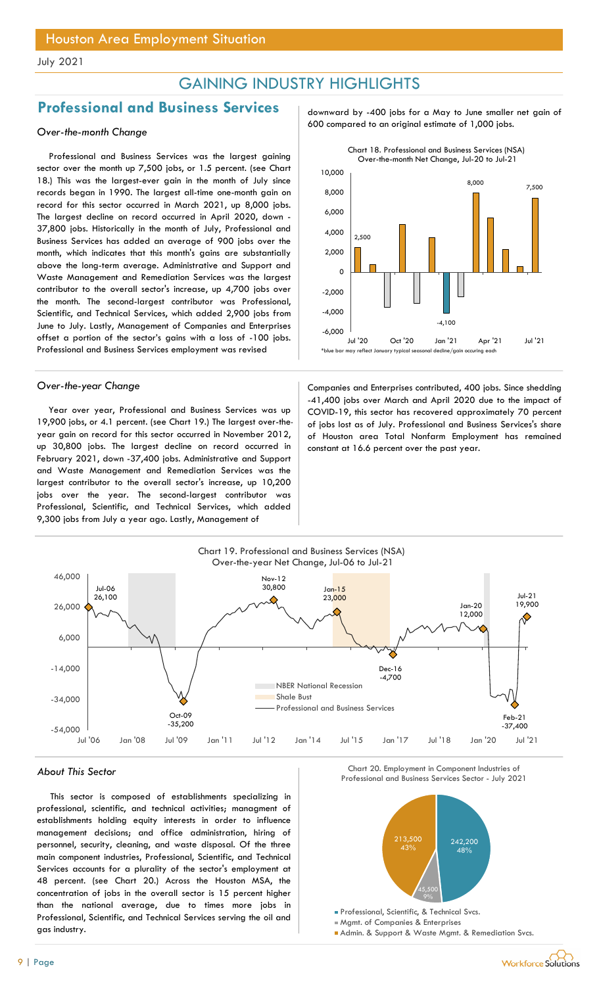## GAINING INDUSTRY HIGHLIGHTS

## Professional and Business Services and about also y -400 jobs for a May to June smaller net gain of

Professional and Business Services was the largest gaining sector over the month up 7,500 jobs, or 1.5 percent. (see Chart 18.) This was the largest-ever gain in the month of July since records began in 1990. The largest all-time one-month gain on record for this sector occurred in March 2021, up 8,000 jobs. The largest decline on record occurred in April 2020, down - 37,800 jobs. Historically in the month of July, Professional and Business Services has added an average of 900 jobs over the month, which indicates that this month's gains are substantially above the long-term average. Administrative and Support and Waste Management and Remediation Services was the largest contributor to the overall sector's increase, up 4,700 jobs over the month. The second-largest contributor was Professional, Scientific, and Technical Services, which added 2,900 jobs from June to July. Lastly, Management of Companies and Enterprises offset a portion of the sector's gains with a loss of -100 jobs. Professional and Business Services employment was revised

Year over year, Professional and Business Services was up 19,900 jobs, or 4.1 percent. (see Chart 19.) The largest over-theyear gain on record for this sector occurred in November 2012, up 30,800 jobs. The largest decline on record occurred in February 2021, down -37,400 jobs. Administrative and Support and Waste Management and Remediation Services was the largest contributor to the overall sector's increase, up 10,200 jobs over the year. The second-largest contributor was Professional, Scientific, and Technical Services, which added 9,300 jobs from July a year ago. Lastly, Management of

600 compared to an original estimate of 1,000 jobs. Over-the-month Change



Over-the-year Change Companies and Enterprises contributed, 400 jobs. Since shedding -41,400 jobs over March and April 2020 due to the impact of COVID-19, this sector has recovered approximately 70 percent of jobs lost as of July. Professional and Business Services's share of Houston area Total Nonfarm Employment has remained constant at 16.6 percent over the past year.



This sector is composed of establishments specializing in professional, scientific, and technical activities; managment of establishments holding equity interests in order to influence management decisions; and office administration, hiring of personnel, security, cleaning, and waste disposal. Of the three main component industries, Professional, Scientific, and Technical Services accounts for a plurality of the sector's employment at 48 percent. (see Chart 20.) Across the Houston MSA, the concentration of jobs in the overall sector is 15 percent higher than the national average, due to times more jobs in Professional, Scientific, and Technical Services serving the oil and gas industry.





Mgmt. of Companies & Enterprises

Admin. & Support & Waste Mgmt. & Remediation Svcs.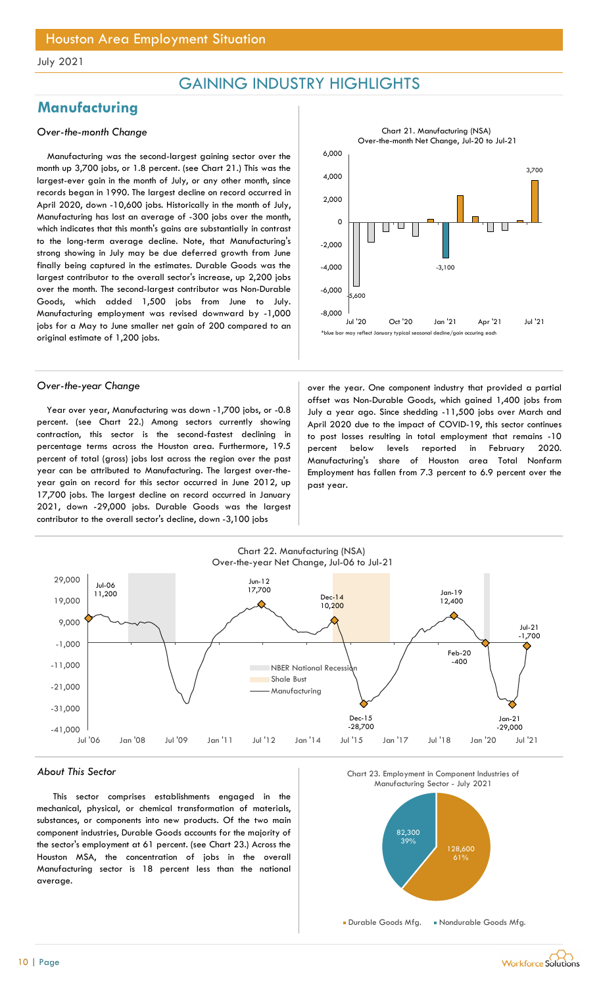## GAINING INDUSTRY HIGHLIGHTS

## **Manufacturing**

### Over-the-month Change

Manufacturing was the second-largest gaining sector over the month up 3,700 jobs, or 1.8 percent. (see Chart 21.) This was the largest-ever gain in the month of July, or any other month, since records began in 1990. The largest decline on record occurred in April 2020, down -10,600 jobs. Historically in the month of July, Manufacturing has lost an average of -300 jobs over the month, which indicates that this month's gains are substantially in contrast to the long-term average decline. Note, that Manufacturing's strong showing in July may be due deferred growth from June finally being captured in the estimates. Durable Goods was the largest contributor to the overall sector's increase, up 2,200 jobs over the month. The second-largest contributor was Non-Durable Goods, which added 1,500 jobs from June to July. Manufacturing employment was revised downward by -1,000 jobs for a May to June smaller net gain of 200 compared to an original estimate of 1,200 jobs.

Year over year, Manufacturing was down -1,700 jobs, or -0.8 percent. (see Chart 22.) Among sectors currently showing contraction, this sector is the second-fastest declining in percentage terms across the Houston area. Furthermore, 19.5 percent of total (gross) jobs lost across the region over the past year can be attributed to Manufacturing. The largest over-theyear gain on record for this sector occurred in June 2012, up 17,700 jobs. The largest decline on record occurred in January 2021, down -29,000 jobs. Durable Goods was the largest contributor to the overall sector's decline, down -3,100 jobs



Over-the-year Change and a settle state over the year. One component industry that provided a partial offset was Non-Durable Goods, which gained 1,400 jobs from July a year ago. Since shedding -11,500 jobs over March and April 2020 due to the impact of COVID-19, this sector continues to post losses resulting in total employment that remains -10 percent below levels reported in February 2020. Manufacturing's share of Houston area Total Nonfarm Employment has fallen from 7.3 percent to 6.9 percent over the past year.



#### About This Sector

This sector comprises establishments engaged in the mechanical, physical, or chemical transformation of materials, substances, or components into new products. Of the two main component industries, Durable Goods accounts for the majority of the sector's employment at 61 percent. (see Chart 23.) Across the Houston MSA, the concentration of jobs in the overall Manufacturing sector is 18 percent less than the national average.





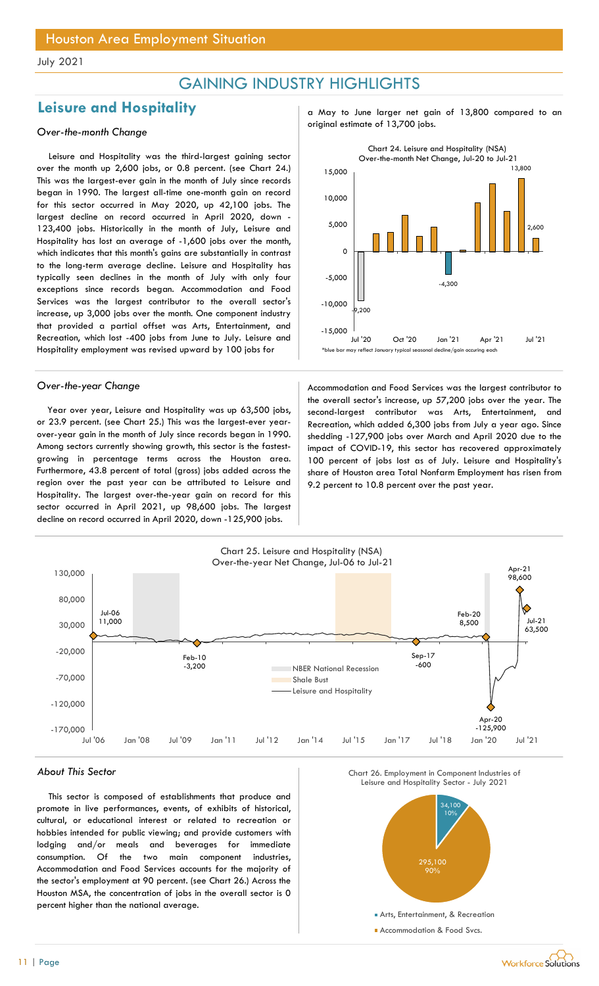## GAINING INDUSTRY HIGHLIGHTS

## Leisure and Hospitality and  $\frac{1}{2}$  a May to June larger net gain of 13,800 compared to an

Leisure and Hospitality was the third-largest gaining sector over the month up 2,600 jobs, or 0.8 percent. (see Chart 24.) This was the largest-ever gain in the month of July since records began in 1990. The largest all-time one-month gain on record for this sector occurred in May 2020, up 42,100 jobs. The largest decline on record occurred in April 2020, down - 123,400 jobs. Historically in the month of July, Leisure and Hospitality has lost an average of -1,600 jobs over the month, which indicates that this month's gains are substantially in contrast to the long-term average decline. Leisure and Hospitality has typically seen declines in the month of July with only four exceptions since records began. Accommodation and Food Services was the largest contributor to the overall sector's increase, up 3,000 jobs over the month. One component industry that provided a partial offset was Arts, Entertainment, and Recreation, which lost -400 jobs from June to July. Leisure and Hospitality employment was revised upward by 100 jobs for

Year over year, Leisure and Hospitality was up 63,500 jobs, or 23.9 percent. (see Chart 25.) This was the largest-ever yearover-year gain in the month of July since records began in 1990. Among sectors currently showing growth, this sector is the fastestgrowing in percentage terms across the Houston area. Furthermore, 43.8 percent of total (gross) jobs added across the region over the past year can be attributed to Leisure and Hospitality. The largest over-the-year gain on record for this sector occurred in April 2021, up 98,600 jobs. The largest decline on record occurred in April 2020, down -125,900 jobs.

original estimate of 13,700 jobs. Over-the-month Change



Over-the-year Change and Theorem Accommodation and Food Services was the largest contributor to the overall sector's increase, up 57,200 jobs over the year. The second-largest contributor was Arts, Entertainment, and Recreation, which added 6,300 jobs from July a year ago. Since shedding -127,900 jobs over March and April 2020 due to the impact of COVID-19, this sector has recovered approximately 100 percent of jobs lost as of July. Leisure and Hospitality's share of Houston area Total Nonfarm Employment has risen from 9.2 percent to 10.8 percent over the past year.



#### About This Sector

This sector is composed of establishments that produce and promote in live performances, events, of exhibits of historical, cultural, or educational interest or related to recreation or hobbies intended for public viewing; and provide customers with lodging and/or meals and beverages for immediate consumption. Of the two main component industries, Accommodation and Food Services accounts for the majority of the sector's employment at 90 percent. (see Chart 26.) Across the Houston MSA, the concentration of jobs in the overall sector is 0 percent higher than the national average.



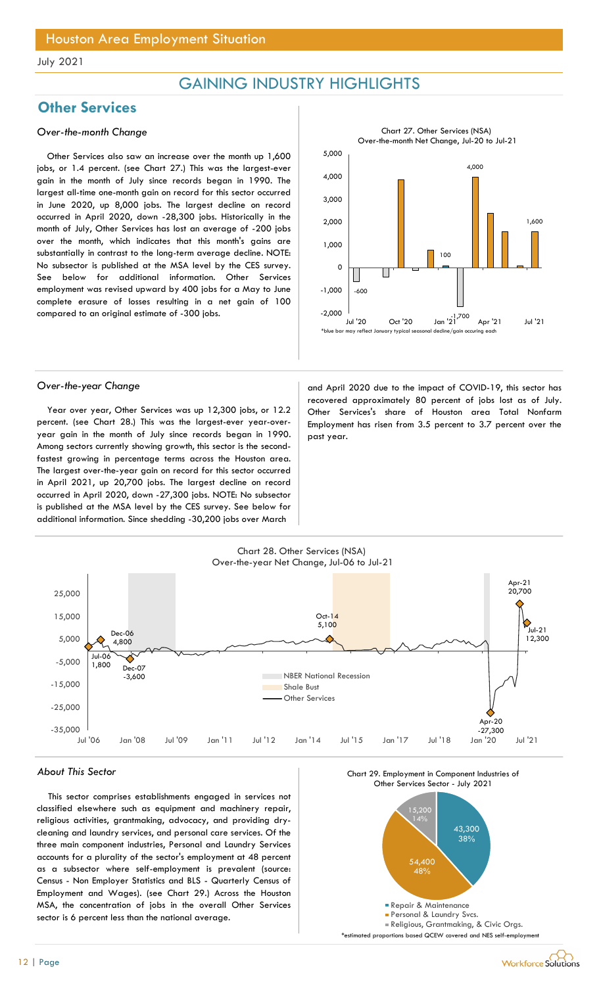## GAINING INDUSTRY HIGHLIGHTS

## **Other Services**

### Over-the-month Change

Other Services also saw an increase over the month up 1,600 jobs, or 1.4 percent. (see Chart 27.) This was the largest-ever gain in the month of July since records began in 1990. The largest all-time one-month gain on record for this sector occurred in June 2020, up 8,000 jobs. The largest decline on record occurred in April 2020, down -28,300 jobs. Historically in the month of July, Other Services has lost an average of -200 jobs over the month, which indicates that this month's gains are substantially in contrast to the long-term average decline. NOTE: No subsector is published at the MSA level by the CES survey. See below for additional information. Other Services employment was revised upward by 400 jobs for a May to June complete erasure of losses resulting in a net gain of 100 compared to an original estimate of -300 jobs.



Year over year, Other Services was up 12,300 jobs, or 12.2 percent. (see Chart 28.) This was the largest-ever year-overyear gain in the month of July since records began in 1990. Among sectors currently showing growth, this sector is the secondfastest growing in percentage terms across the Houston area. The largest over-the-year gain on record for this sector occurred in April 2021, up 20,700 jobs. The largest decline on record occurred in April 2020, down -27,300 jobs. NOTE: No subsector is published at the MSA level by the CES survey. See below for additional information. Since shedding -30,200 jobs over March

Over-the-year Change and April 2020 due to the impact of COVID-19, this sector has recovered approximately 80 percent of jobs lost as of July. Other Services's share of Houston area Total Nonfarm Employment has risen from 3.5 percent to 3.7 percent over the past year.



### About This Sector

This sector comprises establishments engaged in services not classified elsewhere such as equipment and machinery repair, religious activities, grantmaking, advocacy, and providing drycleaning and laundry services, and personal care services. Of the three main component industries, Personal and Laundry Services accounts for a plurality of the sector's employment at 48 percent as a subsector where self-employment is prevalent (source: Census - Non Employer Statistics and BLS - Quarterly Census of Employment and Wages). (see Chart 29.) Across the Houston MSA, the concentration of jobs in the overall Other Services sector is 6 percent less than the national average.

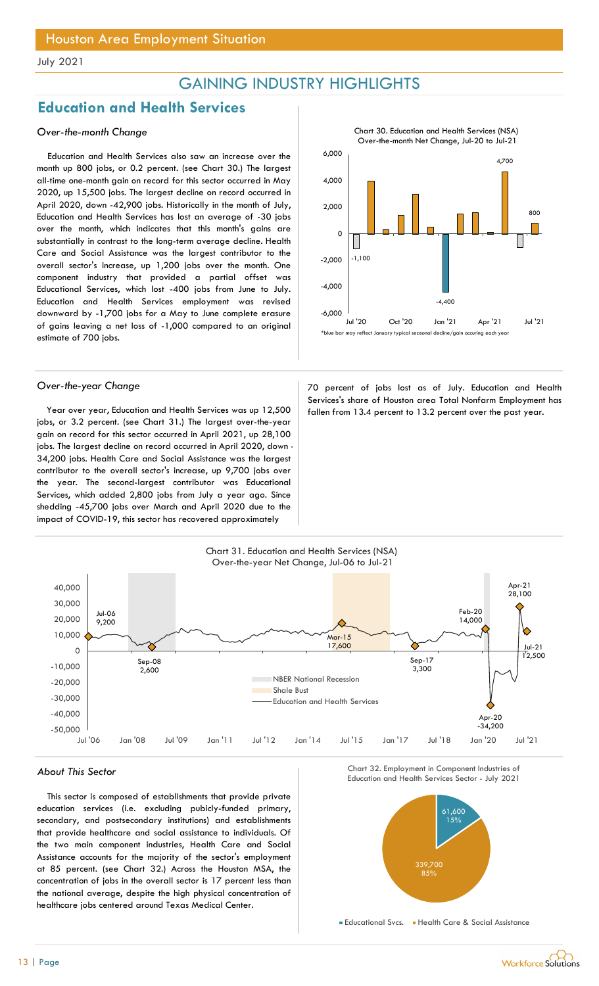## GAINING INDUSTRY HIGHLIGHTS

## Education and Health Services

### Over-the-month Change

Education and Health Services also saw an increase over the month up 800 jobs, or 0.2 percent. (see Chart 30.) The largest all-time one-month gain on record for this sector occurred in May 2020, up 15,500 jobs. The largest decline on record occurred in April 2020, down -42,900 jobs. Historically in the month of July, Education and Health Services has lost an average of -30 jobs over the month, which indicates that this month's gains are substantially in contrast to the long-term average decline. Health Care and Social Assistance was the largest contributor to the overall sector's increase, up 1,200 jobs over the month. One component industry that provided a partial offset was Educational Services, which lost -400 jobs from June to July. Education and Health Services employment was revised downward by -1,700 jobs for a May to June complete erasure of gains leaving a net loss of -1,000 compared to an original estimate of 700 jobs.

jobs, or 3.2 percent. (see Chart 31.) The largest over-the-year gain on record for this sector occurred in April 2021, up 28,100 jobs. The largest decline on record occurred in April 2020, down -34,200 jobs. Health Care and Social Assistance was the largest contributor to the overall sector's increase, up 9,700 jobs over the year. The second-largest contributor was Educational Services, which added 2,800 jobs from July a year ago. Since shedding -45,700 jobs over March and April 2020 due to the impact of COVID-19, this sector has recovered approximately



Over-the-year Change 70 percent of jobs lost as of July. Education and Health Services's share of Houston area Total Nonfarm Employment has Year over year, Education and Health Services was up 12,500 fallen from 13.4 percent to 13.2 percent over the past year.



This sector is composed of establishments that provide private education services (i.e. excluding pubicly-funded primary, secondary, and postsecondary institutions) and establishments that provide healthcare and social assistance to individuals. Of the two main component industries, Health Care and Social Assistance accounts for the majority of the sector's employment at 85 percent. (see Chart 32.) Across the Houston MSA, the concentration of jobs in the overall sector is 17 percent less than the national average, despite the high physical concentration of healthcare jobs centered around Texas Medical Center.





**Educational Svcs.** Health Care & Social Assistance

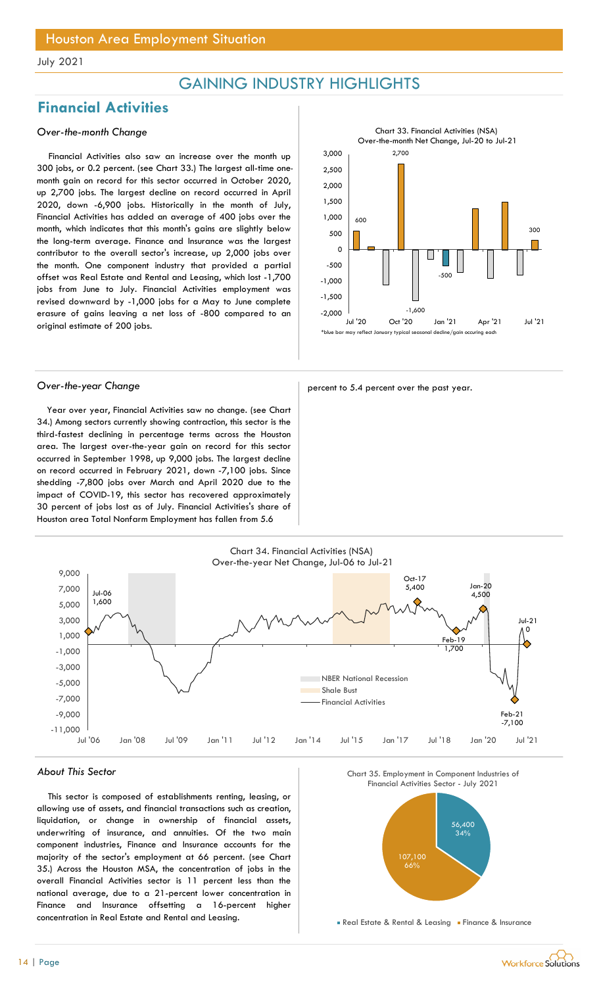## GAINING INDUSTRY HIGHLIGHTS

## Financial Activities

### Over-the-month Change

Financial Activities also saw an increase over the month up 300 jobs, or 0.2 percent. (see Chart 33.) The largest all-time onemonth gain on record for this sector occurred in October 2020, up 2,700 jobs. The largest decline on record occurred in April 2020, down -6,900 jobs. Historically in the month of July, Financial Activities has added an average of 400 jobs over the month, which indicates that this month's gains are slightly below the long-term average. Finance and Insurance was the largest contributor to the overall sector's increase, up 2,000 jobs over the month. One component industry that provided a partial offset was Real Estate and Rental and Leasing, which lost -1,700 jobs from June to July. Financial Activities employment was revised downward by -1,000 jobs for a May to June complete erasure of gains leaving a net loss of -800 compared to an original estimate of 200 jobs.



Year over year, Financial Activities saw no change. (see Chart 34.) Among sectors currently showing contraction, this sector is the third-fastest declining in percentage terms across the Houston area. The largest over-the-year gain on record for this sector occurred in September 1998, up 9,000 jobs. The largest decline on record occurred in February 2021, down -7,100 jobs. Since shedding -7,800 jobs over March and April 2020 due to the impact of COVID-19, this sector has recovered approximately 30 percent of jobs lost as of July. Financial Activities's share of Houston area Total Nonfarm Employment has fallen from 5.6







### About This Sector

This sector is composed of establishments renting, leasing, or allowing use of assets, and financial transactions such as creation, liquidation, or change in ownership of financial assets, underwriting of insurance, and annuities. Of the two main component industries, Finance and Insurance accounts for the majority of the sector's employment at 66 percent. (see Chart 35.) Across the Houston MSA, the concentration of jobs in the overall Financial Activities sector is 11 percent less than the national average, due to a 21-percent lower concentration in Finance and Insurance offsetting a 16-percent higher concentration in Real Estate and Rental and Leasing.





**Real Estate & Rental & Leasing Finance & Insurance**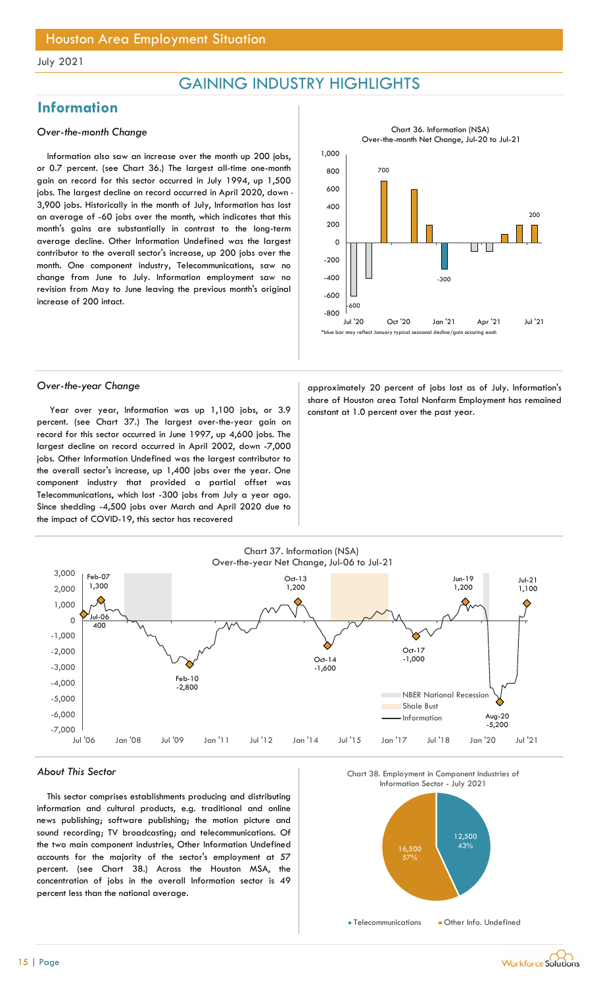## GAINING INDUSTRY HIGHLIGHTS

## Information

### Over-the-month Change

Information also saw an increase over the month up 200 jobs, or 0.7 percent. (see Chart 36.) The largest all-time one-month gain on record for this sector occurred in July 1994, up 1,500 jobs. The largest decline on record occurred in April 2020, down -3,900 jobs. Historically in the month of July, Information has lost an average of -60 jobs over the month, which indicates that this month's gains are substantially in contrast to the long-term average decline. Other Information Undefined was the largest contributor to the overall sector's increase, up 200 jobs over the month. One component industry, Telecommunications, saw no change from June to July. Information employment saw no revision from May to June leaving the previous month's original increase of 200 intact.



Year over year, Information was up 1,100 jobs, or  $3.9$  constant at 1.0 percent over the past year. percent. (see Chart 37.) The largest over-the-year gain on record for this sector occurred in June 1997, up 4,600 jobs. The largest decline on record occurred in April 2002, down -7,000 jobs. Other Information Undefined was the largest contributor to the overall sector's increase, up 1,400 jobs over the year. One component industry that provided a partial offset was Telecommunications, which lost -300 jobs from July a year ago. Since shedding -4,500 jobs over March and April 2020 due to the impact of COVID-19, this sector has recovered

Over-the-year Change and approximately 20 percent of jobs lost as of July. Information's share of Houston area Total Nonfarm Employment has remained



#### About This Sector

This sector comprises establishments producing and distributing information and cultural products, e.g. traditional and online news publishing; software publishing; the motion picture and sound recording; TV broadcasting; and telecommunications. Of the two main component industries, Other Information Undefined accounts for the majority of the sector's employment at 57 percent. (see Chart 38.) Across the Houston MSA, the concentration of jobs in the overall Information sector is 49 percent less than the national average.





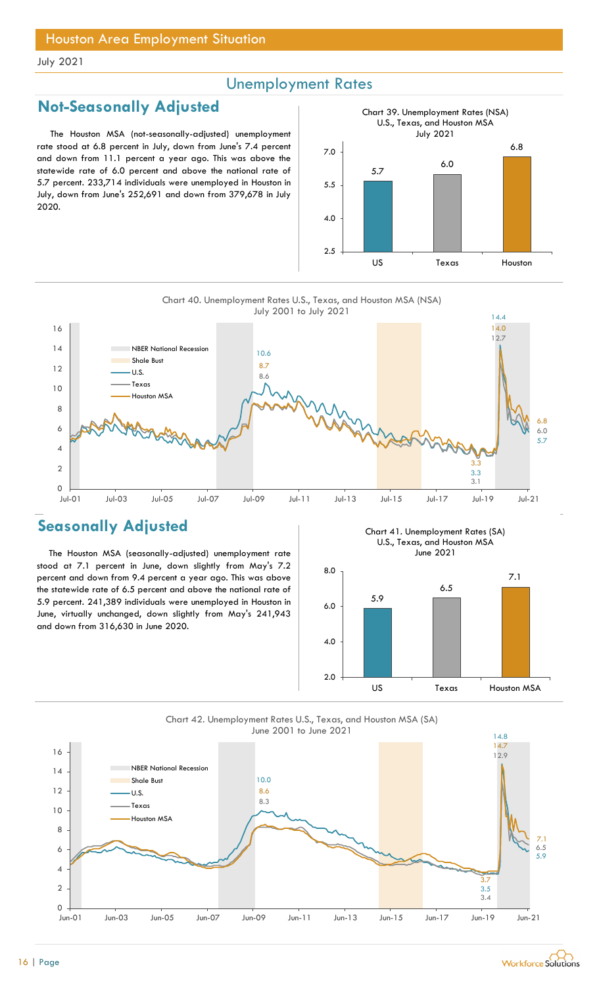## Unemployment Rates

## Not-Seasonally Adjusted

The Houston MSA (not-seasonally-adjusted) unemployment rate stood at 6.8 percent in July, down from June's 7.4 percent and down from 11.1 percent a year ago. This was above the statewide rate of 6.0 percent and above the national rate of 5.7 percent. 233,714 individuals were unemployed in Houston in July, down from June's 252,691 and down from 379,678 in July 2020.



Chart 40. Unemployment Rates U.S., Texas, and Houston MSA (NSA) July 2001 to July 2021



## Seasonally Adjusted

The Houston MSA (seasonally-adjusted) unemployment rate stood at 7.1 percent in June, down slightly from May's 7.2 percent and down from 9.4 percent a year ago. This was above the statewide rate of 6.5 percent and above the national rate of 5.9 percent. 241,389 individuals were unemployed in Houston in June, virtually unchanged, down slightly from May's 241,943 and down from 316,630 in June 2020.

Chart 41. Unemployment Rates (SA) U.S., Texas, and Houston MSA June 2021